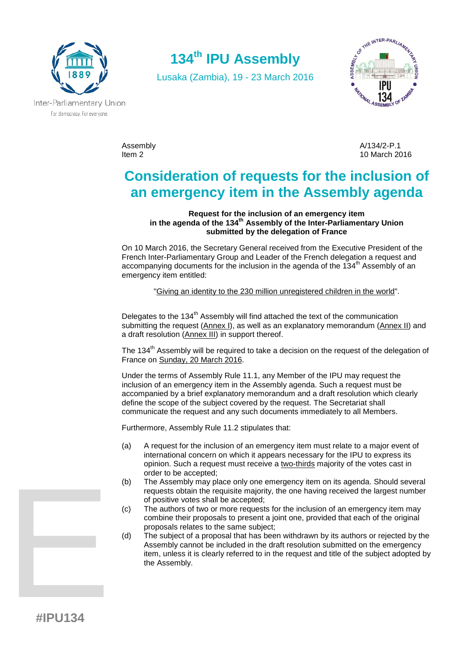

**134th IPU Assembly**

Lusaka (Zambia), 19 - 23 March 2016



Inter-Parliamentary Union For democracy. For everyone.

Assembly and the control of the control of the A/134/2-P.1 A/134/2-P.1 And the control of the A/134/2-P.1 A Item 2 10 March 2016

# **Consideration of requests for the inclusion of an emergency item in the Assembly agenda**

**Request for the inclusion of an emergency item in the agenda of the 134th Assembly of the Inter-Parliamentary Union submitted by the delegation of France**

On 10 March 2016, the Secretary General received from the Executive President of the French Inter-Parliamentary Group and Leader of the French delegation a request and accompanying documents for the inclusion in the agenda of the  $134<sup>th</sup>$  Assembly of an emergency item entitled:

"Giving an identity to the 230 million unregistered children in the world".

Delegates to the 134<sup>th</sup> Assembly will find attached the text of the communication submitting the request (Annex I), as well as an explanatory memorandum (Annex II) and a draft resolution (Annex III) in support thereof.

The 134<sup>th</sup> Assembly will be required to take a decision on the request of the delegation of France on Sunday, 20 March 2016.

Under the terms of Assembly Rule 11.1, any Member of the IPU may request the inclusion of an emergency item in the Assembly agenda. Such a request must be accompanied by a brief explanatory memorandum and a draft resolution which clearly define the scope of the subject covered by the request. The Secretariat shall communicate the request and any such documents immediately to all Members.

Furthermore, Assembly Rule 11.2 stipulates that:

- (a) A request for the inclusion of an emergency item must relate to a major event of international concern on which it appears necessary for the IPU to express its opinion. Such a request must receive a two-thirds majority of the votes cast in order to be accepted;
- (b) The Assembly may place only one emergency item on its agenda. Should several requests obtain the requisite majority, the one having received the largest number of positive votes shall be accepted;
- (c) The authors of two or more requests for the inclusion of an emergency item may combine their proposals to present a joint one, provided that each of the original proposals relates to the same subject;
- (d) The subject of a proposal that has been withdrawn by its authors or rejected by the Assembly cannot be included in the draft resolution submitted on the emergency item, unless it is clearly referred to in the request and title of the subject adopted by the Assembly.

**EXAMPLE 25**<br>
WHAT 24 **#IPU134**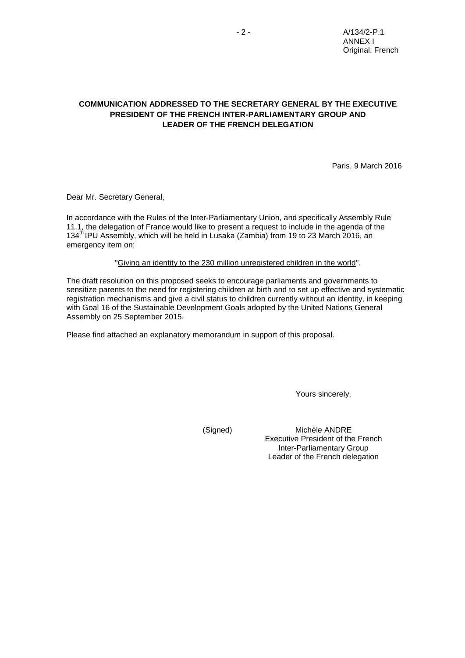## **COMMUNICATION ADDRESSED TO THE SECRETARY GENERAL BY THE EXECUTIVE PRESIDENT OF THE FRENCH INTER-PARLIAMENTARY GROUP AND LEADER OF THE FRENCH DELEGATION**

Paris, 9 March 2016

Dear Mr. Secretary General,

In accordance with the Rules of the Inter-Parliamentary Union, and specifically Assembly Rule 11.1, the delegation of France would like to present a request to include in the agenda of the 134<sup>th</sup> IPU Assembly, which will be held in Lusaka (Zambia) from 19 to 23 March 2016, an emergency item on:

"Giving an identity to the 230 million unregistered children in the world".

The draft resolution on this proposed seeks to encourage parliaments and governments to sensitize parents to the need for registering children at birth and to set up effective and systematic registration mechanisms and give a civil status to children currently without an identity, in keeping with Goal 16 of the Sustainable Development Goals adopted by the United Nations General Assembly on 25 September 2015.

Please find attached an explanatory memorandum in support of this proposal.

Yours sincerely,

(Signed)

Michèle ANDRE Executive President of the French Inter-Parliamentary Group Leader of the French delegation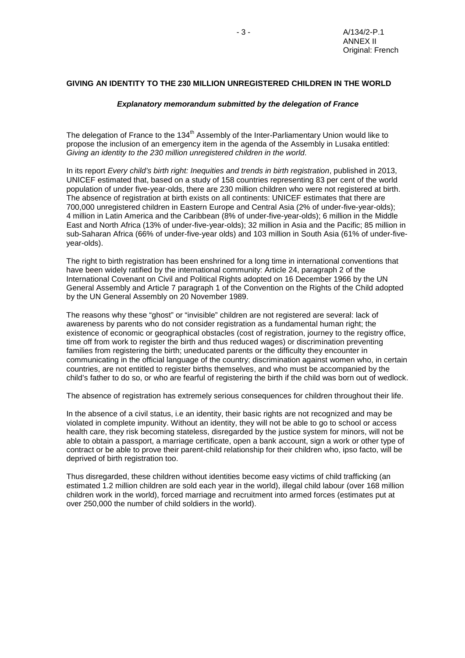## **GIVING AN IDENTITY TO THE 230 MILLION UNREGISTERED CHILDREN IN THE WORLD**

#### *Explanatory memorandum submitted by the delegation of France*

The delegation of France to the 134<sup>th</sup> Assembly of the Inter-Parliamentary Union would like to propose the inclusion of an emergency item in the agenda of the Assembly in Lusaka entitled: *Giving an identity to the 230 million unregistered children in the world*.

In its report *Every child's birth right: Inequities and trends in birth registration*, published in 2013, UNICEF estimated that, based on a study of 158 countries representing 83 per cent of the world population of under five-year-olds, there are 230 million children who were not registered at birth. The absence of registration at birth exists on all continents: UNICEF estimates that there are 700,000 unregistered children in Eastern Europe and Central Asia (2% of under-five-year-olds); 4 million in Latin America and the Caribbean (8% of under-five-year-olds); 6 million in the Middle East and North Africa (13% of under-five-year-olds); 32 million in Asia and the Pacific; 85 million in sub-Saharan Africa (66% of under-five-year olds) and 103 million in South Asia (61% of under-fiveyear-olds).

The right to birth registration has been enshrined for a long time in international conventions that have been widely ratified by the international community: Article 24, paragraph 2 of the International Covenant on Civil and Political Rights adopted on 16 December 1966 by the UN General Assembly and Article 7 paragraph 1 of the Convention on the Rights of the Child adopted by the UN General Assembly on 20 November 1989.

The reasons why these "ghost" or "invisible" children are not registered are several: lack of awareness by parents who do not consider registration as a fundamental human right; the existence of economic or geographical obstacles (cost of registration, journey to the registry office, time off from work to register the birth and thus reduced wages) or discrimination preventing families from registering the birth; uneducated parents or the difficulty they encounter in communicating in the official language of the country; discrimination against women who, in certain countries, are not entitled to register births themselves, and who must be accompanied by the child's father to do so, or who are fearful of registering the birth if the child was born out of wedlock.

The absence of registration has extremely serious consequences for children throughout their life.

In the absence of a civil status, i.e an identity, their basic rights are not recognized and may be violated in complete impunity. Without an identity, they will not be able to go to school or access health care, they risk becoming stateless, disregarded by the justice system for minors, will not be able to obtain a passport, a marriage certificate, open a bank account, sign a work or other type of contract or be able to prove their parent-child relationship for their children who, ipso facto, will be deprived of birth registration too.

Thus disregarded, these children without identities become easy victims of child trafficking (an estimated 1.2 million children are sold each year in the world), illegal child labour (over 168 million children work in the world), forced marriage and recruitment into armed forces (estimates put at over 250,000 the number of child soldiers in the world).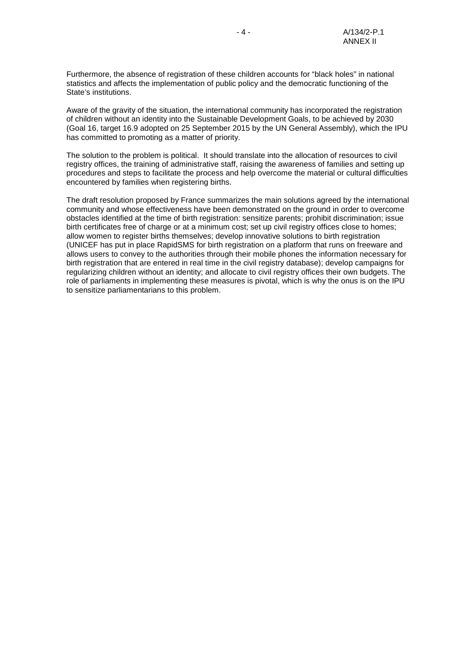Furthermore, the absence of registration of these children accounts for "black holes" in national statistics and affects the implementation of public policy and the democratic functioning of the State's institutions.

Aware of the gravity of the situation, the international community has incorporated the registration of children without an identity into the Sustainable Development Goals, to be achieved by 2030 (Goal 16, target 16.9 adopted on 25 September 2015 by the UN General Assembly), which the IPU has committed to promoting as a matter of priority.

The solution to the problem is political. It should translate into the allocation of resources to civil registry offices, the training of administrative staff, raising the awareness of families and setting up procedures and steps to facilitate the process and help overcome the material or cultural difficulties encountered by families when registering births.

The draft resolution proposed by France summarizes the main solutions agreed by the international community and whose effectiveness have been demonstrated on the ground in order to overcome obstacles identified at the time of birth registration: sensitize parents; prohibit discrimination; issue birth certificates free of charge or at a minimum cost; set up civil registry offices close to homes; allow women to register births themselves; develop innovative solutions to birth registration (UNICEF has put in place RapidSMS for birth registration on a platform that runs on freeware and allows users to convey to the authorities through their mobile phones the information necessary for birth registration that are entered in real time in the civil registry database); develop campaigns for regularizing children without an identity; and allocate to civil registry offices their own budgets. The role of parliaments in implementing these measures is pivotal, which is why the onus is on the IPU to sensitize parliamentarians to this problem.